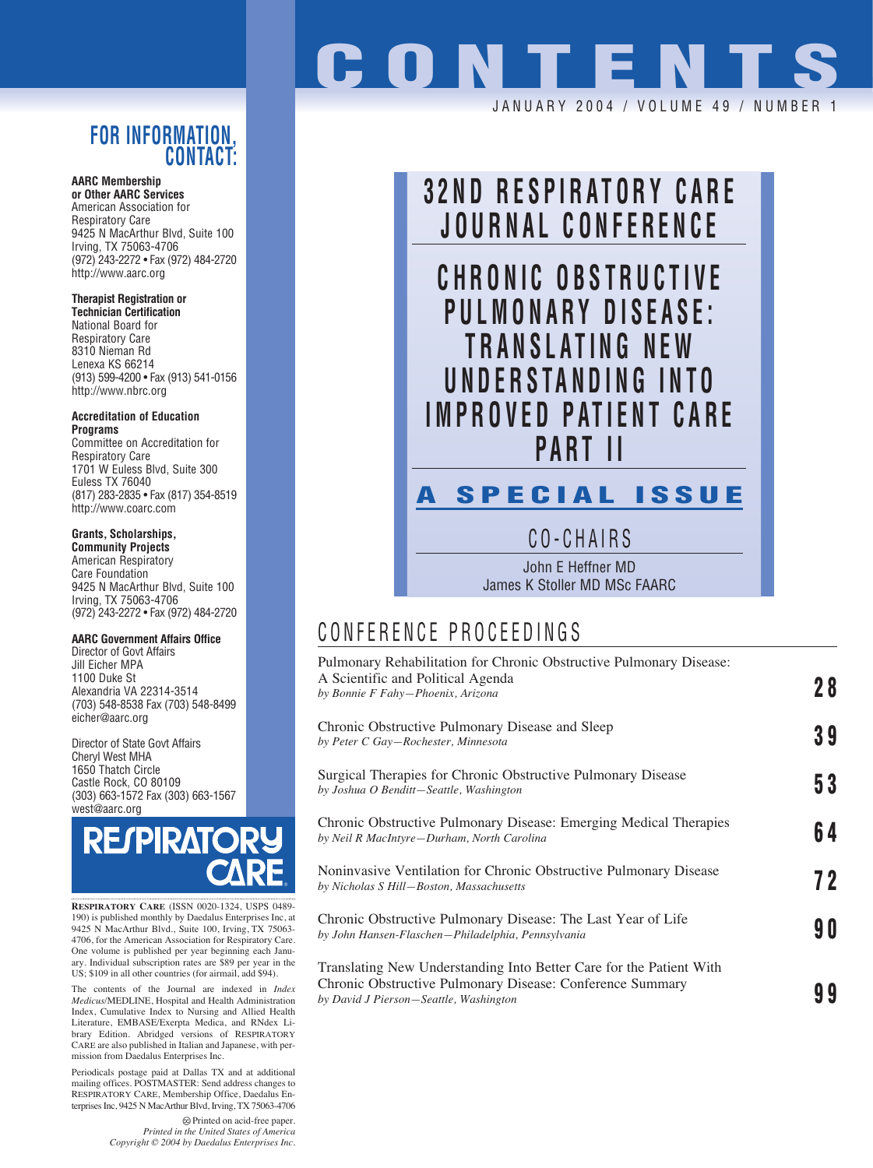### **FOR INFORMATION, CONTACT:**

**AARC Membership or Other AARC Services** American Association for Respiratory Care 9425 N MacArthur Blvd, Suite 100 Irving, TX 75063-4706 (972) 243-2272 • Fax (972) 484-2720 http://www.aarc.org

#### **Therapist Registration or**

**Technician Certification** National Board for Respiratory Care 8310 Nieman Rd Lenexa KS 66214 (913) 599-4200 • Fax (913) 541-0156 http://www.nbrc.org

**Accreditation of Education Programs**

Committee on Accreditation for Respiratory Care 1701 W Euless Blvd, Suite 300 Euless TX 76040 (817) 283-2835 • Fax (817) 354-8519 http://www.coarc.com

### **Grants, Scholarships,**

**Community Projects** American Respiratory Care Foundation 9425 N MacArthur Blvd, Suite 100 Irving, TX 75063-4706 (972) 243-2272 • Fax (972) 484-2720

#### **AARC Government Affairs Office**

Director of Govt Affairs Jill Eicher MPA 1100 Duke St Alexandria VA 22314-3514 (703) 548-8538 Fax (703) 548-8499 eicher@aarc.org

Director of State Govt Affairs Cheryl West MHA 1650 Thatch Circle Castle Rock, CO 80109 (303) 663-1572 Fax (303) 663-1567 west@aarc.org



**RESPIRATORY CARE** (ISSN 0020-1324, USPS 0489- 190) is published monthly by Daedalus Enterprises Inc, at 9425 N MacArthur Blvd., Suite 100, Irving, TX 75063- 4706, for the American Association for Respiratory Care. One volume is published per year beginning each Janu-ary. Individual subscription rates are \$89 per year in the US; \$109 in all other countries (for airmail, add \$94).

The contents of the Journal are indexed in *Index Medicus*/MEDLINE, Hospital and Health Administration Index, Cumulative Index to Nursing and Allied Health Literature, EMBASE/Exerpta Medica, and RNdex Library Edition. Abridged versions of RESPIRATORY CARE are also published in Italian and Japanese, with permission from Daedalus Enterprises Inc.

Periodicals postage paid at Dallas TX and at additional mailing offices. POSTMASTER: Send address changes to RESPIRATORY CARE, Membership Office, Daedalus Enterprises Inc, 9425 N MacArthur Blvd, Irving, TX 75063-4706

> Printed on acid-free paper. *Printed in the United States of America Copyright © 2004 by Daedalus Enterprises Inc.*

# **ONTENT** JANUARY 2004 / VOLUME 49 / NUMBE



## CONFERENCE PROCEEDINGS

| Pulmonary Rehabilitation for Chronic Obstructive Pulmonary Disease:<br>A Scientific and Political Agenda<br>by Bonnie F Fahy-Phoenix, Arizona                              | 28 |
|----------------------------------------------------------------------------------------------------------------------------------------------------------------------------|----|
| Chronic Obstructive Pulmonary Disease and Sleep<br>by Peter C Gay-Rochester, Minnesota                                                                                     | 39 |
| Surgical Therapies for Chronic Obstructive Pulmonary Disease<br>by Joshua O Benditt-Seattle, Washington                                                                    | 53 |
| Chronic Obstructive Pulmonary Disease: Emerging Medical Therapies<br>by Neil R MacIntyre-Durham, North Carolina                                                            | 64 |
| Noninvasive Ventilation for Chronic Obstructive Pulmonary Disease<br>by Nicholas S Hill-Boston, Massachusetts                                                              | 72 |
| Chronic Obstructive Pulmonary Disease: The Last Year of Life<br>by John Hansen-Flaschen-Philadelphia, Pennsylvania                                                         | 90 |
| Translating New Understanding Into Better Care for the Patient With<br>Chronic Obstructive Pulmonary Disease: Conference Summary<br>by David J Pierson-Seattle, Washington |    |